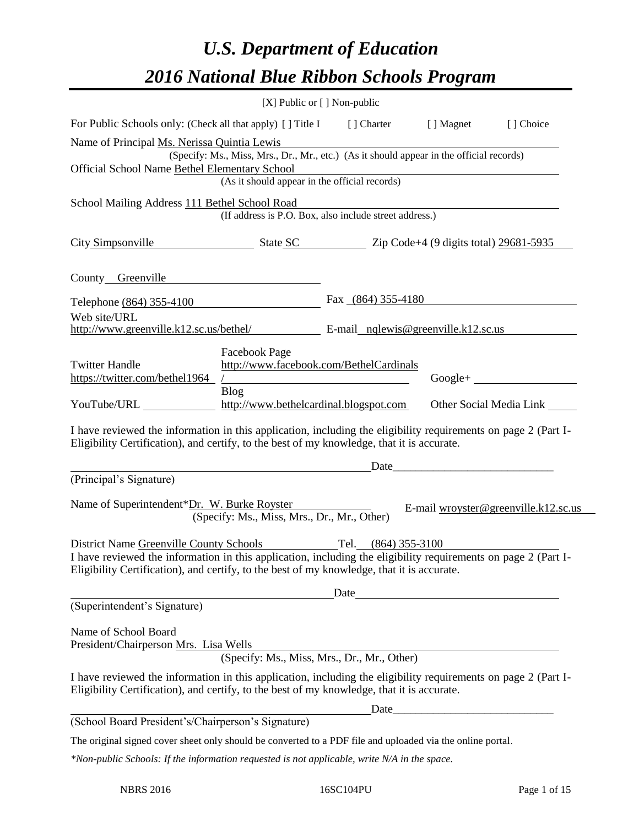# *U.S. Department of Education 2016 National Blue Ribbon Schools Program*

|                                                                                                                                                                                                                                                                             | [X] Public or [] Non-public                                                                                                               |                      |      |                                          |
|-----------------------------------------------------------------------------------------------------------------------------------------------------------------------------------------------------------------------------------------------------------------------------|-------------------------------------------------------------------------------------------------------------------------------------------|----------------------|------|------------------------------------------|
| For Public Schools only: (Check all that apply) [] Title I [] Charter [] Magnet                                                                                                                                                                                             |                                                                                                                                           |                      |      | [] Choice                                |
| Name of Principal Ms. Nerissa Quintia Lewis<br>Official School Name Bethel Elementary School                                                                                                                                                                                | (Specify: Ms., Miss, Mrs., Dr., Mr., etc.) (As it should appear in the official records)<br>(As it should appear in the official records) |                      |      |                                          |
| School Mailing Address 111 Bethel School Road                                                                                                                                                                                                                               | (If address is P.O. Box, also include street address.)                                                                                    |                      |      |                                          |
| City Simpsonville State SC Zip Code+4 (9 digits total) 29681-5935                                                                                                                                                                                                           |                                                                                                                                           |                      |      |                                          |
| County Greenville                                                                                                                                                                                                                                                           |                                                                                                                                           |                      |      |                                          |
| Telephone (864) 355-4100                                                                                                                                                                                                                                                    |                                                                                                                                           | Fax $(864)$ 355-4180 |      |                                          |
| Web site/URL<br>http://www.greenville.k12.sc.us/bethel/ $E$ -mail nglewis@greenville.k12.sc.us                                                                                                                                                                              |                                                                                                                                           |                      |      |                                          |
| <b>Twitter Handle</b><br>https://twitter.com/bethel1964<br>YouTube/URL http://www.bethelcardinal.blogspot.com                                                                                                                                                               | Facebook Page<br>http://www.facebook.com/BethelCardinals<br><b>Blog</b>                                                                   |                      |      | $Google + \_$<br>Other Social Media Link |
| I have reviewed the information in this application, including the eligibility requirements on page 2 (Part I-<br>Eligibility Certification), and certify, to the best of my knowledge, that it is accurate.                                                                |                                                                                                                                           |                      |      |                                          |
| (Principal's Signature)                                                                                                                                                                                                                                                     |                                                                                                                                           |                      |      |                                          |
| Name of Superintendent*Dr. W. Burke Royster                                                                                                                                                                                                                                 | (Specify: Ms., Miss, Mrs., Dr., Mr., Other)                                                                                               |                      |      | E-mail wroyster@greenville.k12.sc.us     |
| District Name Greenville County Schools Tel. (864) 355-3100<br>I have reviewed the information in this application, including the eligibility requirements on page 2 (Part I-<br>Eligibility Certification), and certify, to the best of my knowledge, that it is accurate. |                                                                                                                                           |                      |      |                                          |
| (Superintendent's Signature)                                                                                                                                                                                                                                                |                                                                                                                                           |                      | Date |                                          |
| Name of School Board<br>President/Chairperson Mrs. Lisa Wells                                                                                                                                                                                                               | (Specify: Ms., Miss, Mrs., Dr., Mr., Other)                                                                                               |                      |      |                                          |
| I have reviewed the information in this application, including the eligibility requirements on page 2 (Part I-<br>Eligibility Certification), and certify, to the best of my knowledge, that it is accurate.                                                                |                                                                                                                                           |                      |      |                                          |
|                                                                                                                                                                                                                                                                             |                                                                                                                                           |                      | Date |                                          |
| (School Board President's/Chairperson's Signature)                                                                                                                                                                                                                          |                                                                                                                                           |                      |      |                                          |
| The original signed cover sheet only should be converted to a PDF file and uploaded via the online portal.                                                                                                                                                                  |                                                                                                                                           |                      |      |                                          |
| *Non-public Schools: If the information requested is not applicable, write N/A in the space.                                                                                                                                                                                |                                                                                                                                           |                      |      |                                          |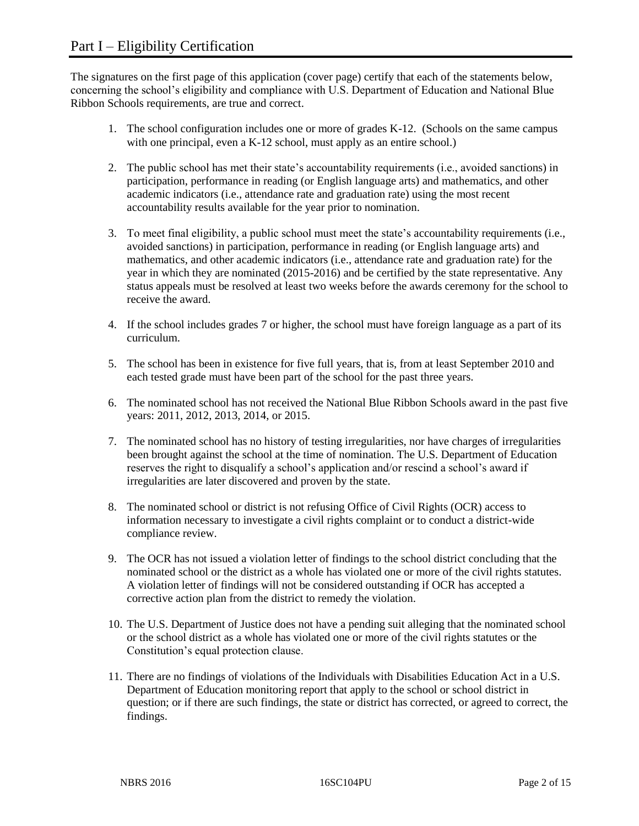The signatures on the first page of this application (cover page) certify that each of the statements below, concerning the school's eligibility and compliance with U.S. Department of Education and National Blue Ribbon Schools requirements, are true and correct.

- 1. The school configuration includes one or more of grades K-12. (Schools on the same campus with one principal, even a K-12 school, must apply as an entire school.)
- 2. The public school has met their state's accountability requirements (i.e., avoided sanctions) in participation, performance in reading (or English language arts) and mathematics, and other academic indicators (i.e., attendance rate and graduation rate) using the most recent accountability results available for the year prior to nomination.
- 3. To meet final eligibility, a public school must meet the state's accountability requirements (i.e., avoided sanctions) in participation, performance in reading (or English language arts) and mathematics, and other academic indicators (i.e., attendance rate and graduation rate) for the year in which they are nominated (2015-2016) and be certified by the state representative. Any status appeals must be resolved at least two weeks before the awards ceremony for the school to receive the award.
- 4. If the school includes grades 7 or higher, the school must have foreign language as a part of its curriculum.
- 5. The school has been in existence for five full years, that is, from at least September 2010 and each tested grade must have been part of the school for the past three years.
- 6. The nominated school has not received the National Blue Ribbon Schools award in the past five years: 2011, 2012, 2013, 2014, or 2015.
- 7. The nominated school has no history of testing irregularities, nor have charges of irregularities been brought against the school at the time of nomination. The U.S. Department of Education reserves the right to disqualify a school's application and/or rescind a school's award if irregularities are later discovered and proven by the state.
- 8. The nominated school or district is not refusing Office of Civil Rights (OCR) access to information necessary to investigate a civil rights complaint or to conduct a district-wide compliance review.
- 9. The OCR has not issued a violation letter of findings to the school district concluding that the nominated school or the district as a whole has violated one or more of the civil rights statutes. A violation letter of findings will not be considered outstanding if OCR has accepted a corrective action plan from the district to remedy the violation.
- 10. The U.S. Department of Justice does not have a pending suit alleging that the nominated school or the school district as a whole has violated one or more of the civil rights statutes or the Constitution's equal protection clause.
- 11. There are no findings of violations of the Individuals with Disabilities Education Act in a U.S. Department of Education monitoring report that apply to the school or school district in question; or if there are such findings, the state or district has corrected, or agreed to correct, the findings.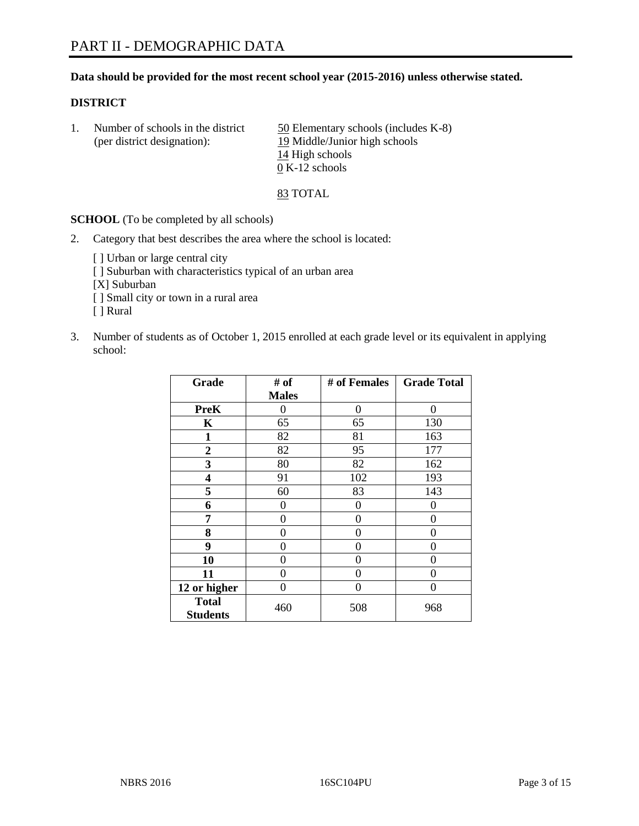# **Data should be provided for the most recent school year (2015-2016) unless otherwise stated.**

# **DISTRICT**

1. Number of schools in the district  $\frac{50}{2}$  Elementary schools (includes K-8) (per district designation): 19 Middle/Junior high schools 14 High schools  $\overline{0}$  K-12 schools

83 TOTAL

**SCHOOL** (To be completed by all schools)

- 2. Category that best describes the area where the school is located:
	- [] Urban or large central city [ ] Suburban with characteristics typical of an urban area [X] Suburban [ ] Small city or town in a rural area [ ] Rural
- 3. Number of students as of October 1, 2015 enrolled at each grade level or its equivalent in applying school:

| Grade                           | # of         | # of Females | <b>Grade Total</b> |
|---------------------------------|--------------|--------------|--------------------|
|                                 | <b>Males</b> |              |                    |
| <b>PreK</b>                     | 0            | 0            | 0                  |
| K                               | 65           | 65           | 130                |
| 1                               | 82           | 81           | 163                |
| $\overline{2}$                  | 82           | 95           | 177                |
| 3                               | 80           | 82           | 162                |
| 4                               | 91           | 102          | 193                |
| 5                               | 60           | 83           | 143                |
| 6                               | 0            | 0            | 0                  |
| 7                               | 0            | 0            | 0                  |
| 8                               | 0            | 0            | 0                  |
| 9                               | 0            | 0            | 0                  |
| 10                              | 0            | 0            | 0                  |
| 11                              | 0            | 0            | 0                  |
| 12 or higher                    | 0            | 0            | $\theta$           |
| <b>Total</b><br><b>Students</b> | 460          | 508          | 968                |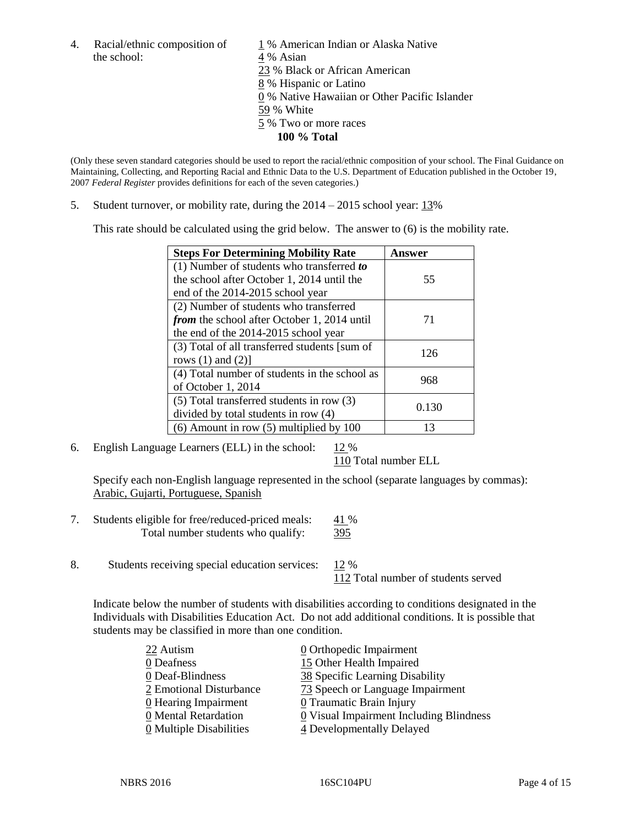the school: 4 % Asian

4. Racial/ethnic composition of  $1\%$  American Indian or Alaska Native 23 % Black or African American 8 % Hispanic or Latino 0 % Native Hawaiian or Other Pacific Islander 59 % White 5 % Two or more races **100 % Total**

(Only these seven standard categories should be used to report the racial/ethnic composition of your school. The Final Guidance on Maintaining, Collecting, and Reporting Racial and Ethnic Data to the U.S. Department of Education published in the October 19, 2007 *Federal Register* provides definitions for each of the seven categories.)

5. Student turnover, or mobility rate, during the  $2014 - 2015$  school year:  $13\%$ 

This rate should be calculated using the grid below. The answer to (6) is the mobility rate.

| <b>Steps For Determining Mobility Rate</b>         | Answer |  |
|----------------------------------------------------|--------|--|
| $(1)$ Number of students who transferred to        |        |  |
| the school after October 1, 2014 until the         | 55     |  |
| end of the 2014-2015 school year                   |        |  |
| (2) Number of students who transferred             |        |  |
| <i>from</i> the school after October 1, 2014 until | 71     |  |
| the end of the 2014-2015 school year               |        |  |
| (3) Total of all transferred students [sum of      | 126    |  |
| rows $(1)$ and $(2)$ ]                             |        |  |
| (4) Total number of students in the school as      | 968    |  |
| of October 1, 2014                                 |        |  |
| $(5)$ Total transferred students in row $(3)$      | 0.130  |  |
| divided by total students in row (4)               |        |  |
| $(6)$ Amount in row $(5)$ multiplied by 100        | 13     |  |

6. English Language Learners (ELL) in the school:  $12\%$ 

110 Total number ELL

Specify each non-English language represented in the school (separate languages by commas): Arabic, Gujarti, Portuguese, Spanish

- 7. Students eligible for free/reduced-priced meals: 41 % Total number students who qualify: 395
- 8. Students receiving special education services: 12 %

112 Total number of students served

Indicate below the number of students with disabilities according to conditions designated in the Individuals with Disabilities Education Act. Do not add additional conditions. It is possible that students may be classified in more than one condition.

| 22 Autism                          | $\underline{0}$ Orthopedic Impairment   |
|------------------------------------|-----------------------------------------|
| 0 Deafness                         | 15 Other Health Impaired                |
| 0 Deaf-Blindness                   | 38 Specific Learning Disability         |
| 2 Emotional Disturbance            | 73 Speech or Language Impairment        |
| $\underline{0}$ Hearing Impairment | 0 Traumatic Brain Injury                |
| 0 Mental Retardation               | 0 Visual Impairment Including Blindness |
| 0 Multiple Disabilities            | 4 Developmentally Delayed               |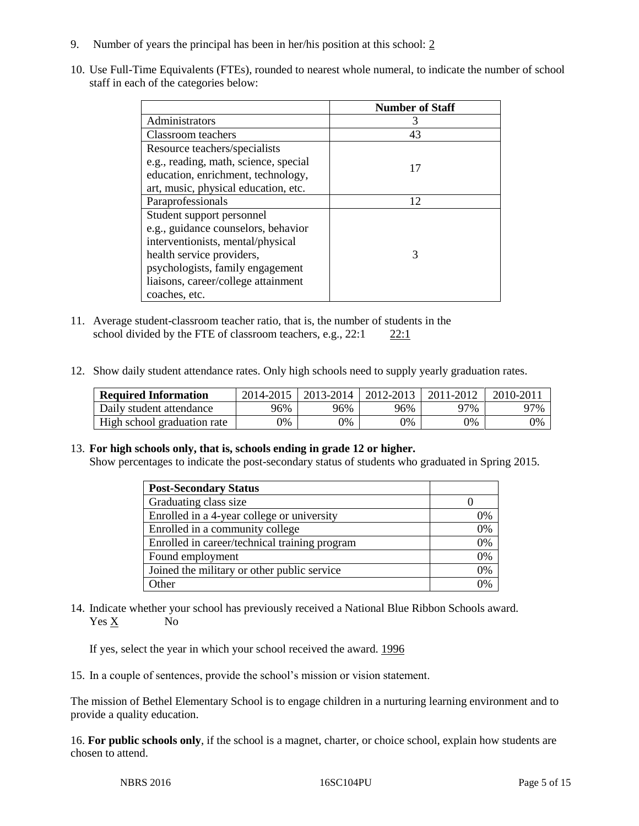- 9. Number of years the principal has been in her/his position at this school: 2
- 10. Use Full-Time Equivalents (FTEs), rounded to nearest whole numeral, to indicate the number of school staff in each of the categories below:

|                                       | <b>Number of Staff</b> |
|---------------------------------------|------------------------|
| Administrators                        | 3                      |
| Classroom teachers                    | 43                     |
| Resource teachers/specialists         |                        |
| e.g., reading, math, science, special | 17                     |
| education, enrichment, technology,    |                        |
| art, music, physical education, etc.  |                        |
| Paraprofessionals                     | 12                     |
| Student support personnel             |                        |
| e.g., guidance counselors, behavior   |                        |
| interventionists, mental/physical     |                        |
| health service providers,             | 3                      |
| psychologists, family engagement      |                        |
| liaisons, career/college attainment   |                        |
| coaches, etc.                         |                        |

- 11. Average student-classroom teacher ratio, that is, the number of students in the school divided by the FTE of classroom teachers, e.g.,  $22:1$  22:1
- 12. Show daily student attendance rates. Only high schools need to supply yearly graduation rates.

| <b>Required Information</b> | 2014-2015 | $2013 - 2014$ | 2012-2013 | 2011-2012 | $2010 - 201$ |
|-----------------------------|-----------|---------------|-----------|-----------|--------------|
| Daily student attendance    | 96%       | 96%           | 96%       | 97%       | 97%          |
| High school graduation rate | 0%        | $\gamma\%$    | 0%        | 9%        | 0%           |

# 13. **For high schools only, that is, schools ending in grade 12 or higher.**

Show percentages to indicate the post-secondary status of students who graduated in Spring 2015.

| <b>Post-Secondary Status</b>                  |                |
|-----------------------------------------------|----------------|
| Graduating class size                         |                |
| Enrolled in a 4-year college or university    | 0%             |
| Enrolled in a community college               | 0%             |
| Enrolled in career/technical training program | 0%             |
| Found employment                              | 0%             |
| Joined the military or other public service   | 0%             |
| Other                                         | $\frac{10}{6}$ |

14. Indicate whether your school has previously received a National Blue Ribbon Schools award. Yes X No

If yes, select the year in which your school received the award. 1996

15. In a couple of sentences, provide the school's mission or vision statement.

The mission of Bethel Elementary School is to engage children in a nurturing learning environment and to provide a quality education.

16. **For public schools only**, if the school is a magnet, charter, or choice school, explain how students are chosen to attend.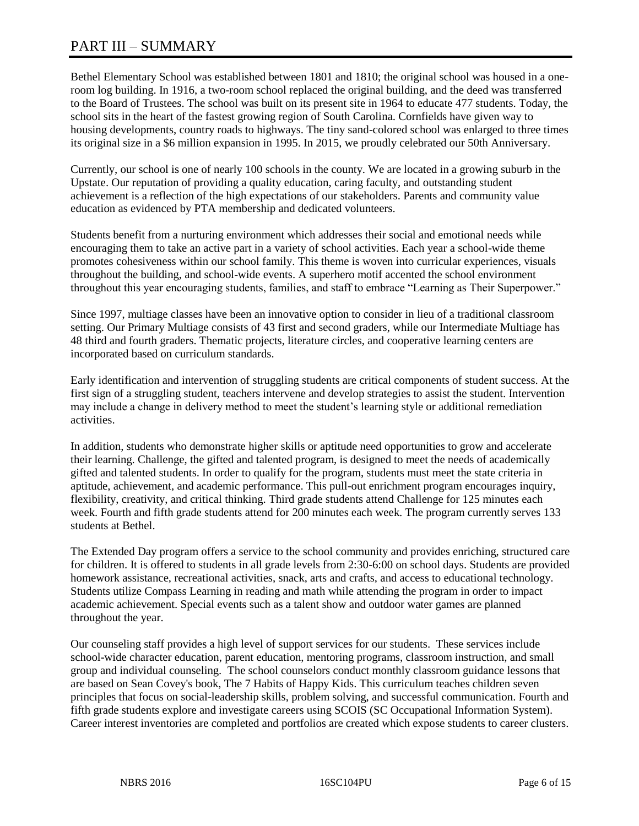# PART III – SUMMARY

Bethel Elementary School was established between 1801 and 1810; the original school was housed in a oneroom log building. In 1916, a two-room school replaced the original building, and the deed was transferred to the Board of Trustees. The school was built on its present site in 1964 to educate 477 students. Today, the school sits in the heart of the fastest growing region of South Carolina. Cornfields have given way to housing developments, country roads to highways. The tiny sand-colored school was enlarged to three times its original size in a \$6 million expansion in 1995. In 2015, we proudly celebrated our 50th Anniversary.

Currently, our school is one of nearly 100 schools in the county. We are located in a growing suburb in the Upstate. Our reputation of providing a quality education, caring faculty, and outstanding student achievement is a reflection of the high expectations of our stakeholders. Parents and community value education as evidenced by PTA membership and dedicated volunteers.

Students benefit from a nurturing environment which addresses their social and emotional needs while encouraging them to take an active part in a variety of school activities. Each year a school-wide theme promotes cohesiveness within our school family. This theme is woven into curricular experiences, visuals throughout the building, and school-wide events. A superhero motif accented the school environment throughout this year encouraging students, families, and staff to embrace "Learning as Their Superpower."

Since 1997, multiage classes have been an innovative option to consider in lieu of a traditional classroom setting. Our Primary Multiage consists of 43 first and second graders, while our Intermediate Multiage has 48 third and fourth graders. Thematic projects, literature circles, and cooperative learning centers are incorporated based on curriculum standards.

Early identification and intervention of struggling students are critical components of student success. At the first sign of a struggling student, teachers intervene and develop strategies to assist the student. Intervention may include a change in delivery method to meet the student's learning style or additional remediation activities.

In addition, students who demonstrate higher skills or aptitude need opportunities to grow and accelerate their learning. Challenge, the gifted and talented program, is designed to meet the needs of academically gifted and talented students. In order to qualify for the program, students must meet the state criteria in aptitude, achievement, and academic performance. This pull-out enrichment program encourages inquiry, flexibility, creativity, and critical thinking. Third grade students attend Challenge for 125 minutes each week. Fourth and fifth grade students attend for 200 minutes each week. The program currently serves 133 students at Bethel.

The Extended Day program offers a service to the school community and provides enriching, structured care for children. It is offered to students in all grade levels from 2:30-6:00 on school days. Students are provided homework assistance, recreational activities, snack, arts and crafts, and access to educational technology. Students utilize Compass Learning in reading and math while attending the program in order to impact academic achievement. Special events such as a talent show and outdoor water games are planned throughout the year.

Our counseling staff provides a high level of support services for our students. These services include school-wide character education, parent education, mentoring programs, classroom instruction, and small group and individual counseling. The school counselors conduct monthly classroom guidance lessons that are based on Sean Covey's book, The 7 Habits of Happy Kids. This curriculum teaches children seven principles that focus on social-leadership skills, problem solving, and successful communication. Fourth and fifth grade students explore and investigate careers using SCOIS (SC Occupational Information System). Career interest inventories are completed and portfolios are created which expose students to career clusters.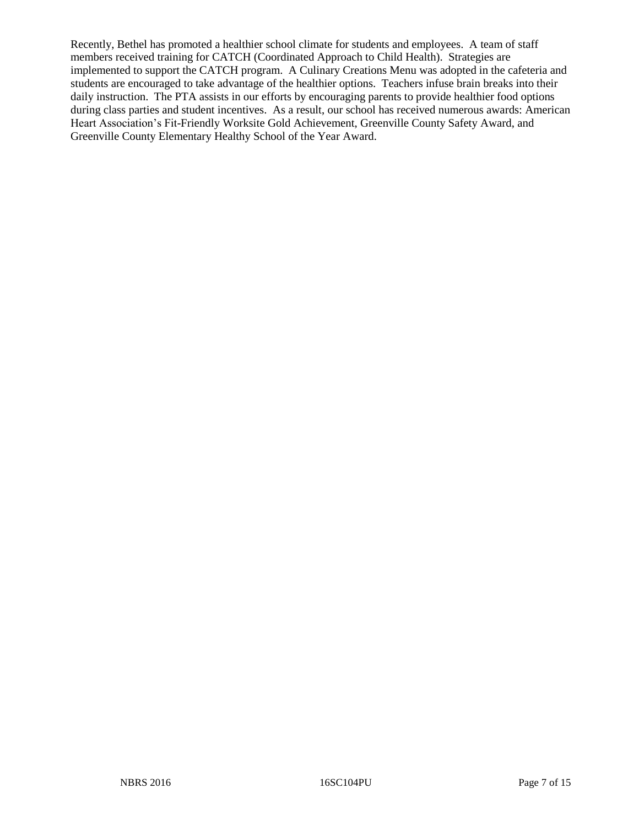Recently, Bethel has promoted a healthier school climate for students and employees. A team of staff members received training for CATCH (Coordinated Approach to Child Health). Strategies are implemented to support the CATCH program. A Culinary Creations Menu was adopted in the cafeteria and students are encouraged to take advantage of the healthier options. Teachers infuse brain breaks into their daily instruction. The PTA assists in our efforts by encouraging parents to provide healthier food options during class parties and student incentives. As a result, our school has received numerous awards: American Heart Association's Fit-Friendly Worksite Gold Achievement, Greenville County Safety Award, and Greenville County Elementary Healthy School of the Year Award.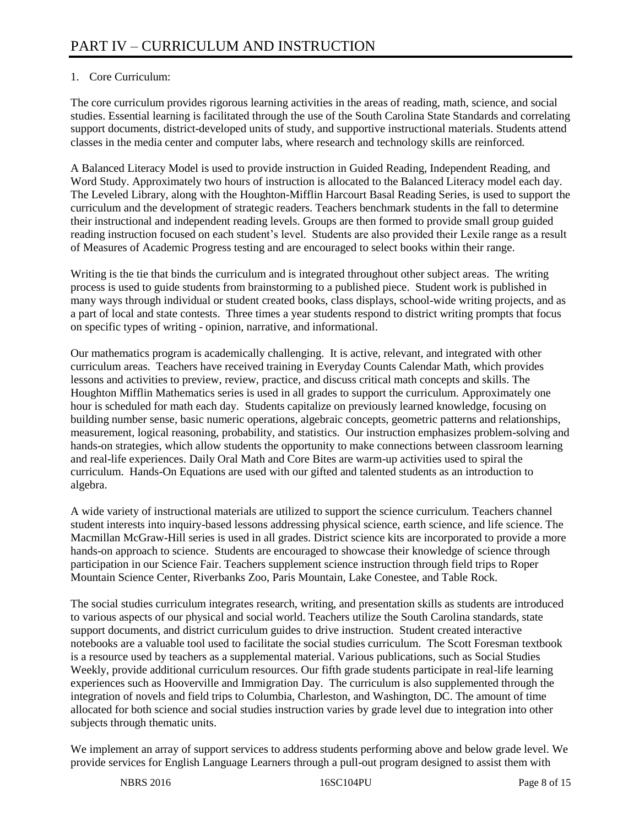# 1. Core Curriculum:

The core curriculum provides rigorous learning activities in the areas of reading, math, science, and social studies. Essential learning is facilitated through the use of the South Carolina State Standards and correlating support documents, district-developed units of study, and supportive instructional materials. Students attend classes in the media center and computer labs, where research and technology skills are reinforced.

A Balanced Literacy Model is used to provide instruction in Guided Reading, Independent Reading, and Word Study. Approximately two hours of instruction is allocated to the Balanced Literacy model each day. The Leveled Library, along with the Houghton-Mifflin Harcourt Basal Reading Series, is used to support the curriculum and the development of strategic readers. Teachers benchmark students in the fall to determine their instructional and independent reading levels. Groups are then formed to provide small group guided reading instruction focused on each student's level. Students are also provided their Lexile range as a result of Measures of Academic Progress testing and are encouraged to select books within their range.

Writing is the tie that binds the curriculum and is integrated throughout other subject areas. The writing process is used to guide students from brainstorming to a published piece. Student work is published in many ways through individual or student created books, class displays, school-wide writing projects, and as a part of local and state contests. Three times a year students respond to district writing prompts that focus on specific types of writing - opinion, narrative, and informational.

Our mathematics program is academically challenging. It is active, relevant, and integrated with other curriculum areas. Teachers have received training in Everyday Counts Calendar Math, which provides lessons and activities to preview, review, practice, and discuss critical math concepts and skills. The Houghton Mifflin Mathematics series is used in all grades to support the curriculum. Approximately one hour is scheduled for math each day. Students capitalize on previously learned knowledge, focusing on building number sense, basic numeric operations, algebraic concepts, geometric patterns and relationships, measurement, logical reasoning, probability, and statistics. Our instruction emphasizes problem-solving and hands-on strategies, which allow students the opportunity to make connections between classroom learning and real-life experiences. Daily Oral Math and Core Bites are warm-up activities used to spiral the curriculum. Hands-On Equations are used with our gifted and talented students as an introduction to algebra.

A wide variety of instructional materials are utilized to support the science curriculum. Teachers channel student interests into inquiry-based lessons addressing physical science, earth science, and life science. The Macmillan McGraw-Hill series is used in all grades. District science kits are incorporated to provide a more hands-on approach to science. Students are encouraged to showcase their knowledge of science through participation in our Science Fair. Teachers supplement science instruction through field trips to Roper Mountain Science Center, Riverbanks Zoo, Paris Mountain, Lake Conestee, and Table Rock.

The social studies curriculum integrates research, writing, and presentation skills as students are introduced to various aspects of our physical and social world. Teachers utilize the South Carolina standards, state support documents, and district curriculum guides to drive instruction. Student created interactive notebooks are a valuable tool used to facilitate the social studies curriculum. The Scott Foresman textbook is a resource used by teachers as a supplemental material. Various publications, such as Social Studies Weekly, provide additional curriculum resources. Our fifth grade students participate in real-life learning experiences such as Hooverville and Immigration Day. The curriculum is also supplemented through the integration of novels and field trips to Columbia, Charleston, and Washington, DC. The amount of time allocated for both science and social studies instruction varies by grade level due to integration into other subjects through thematic units.

We implement an array of support services to address students performing above and below grade level. We provide services for English Language Learners through a pull-out program designed to assist them with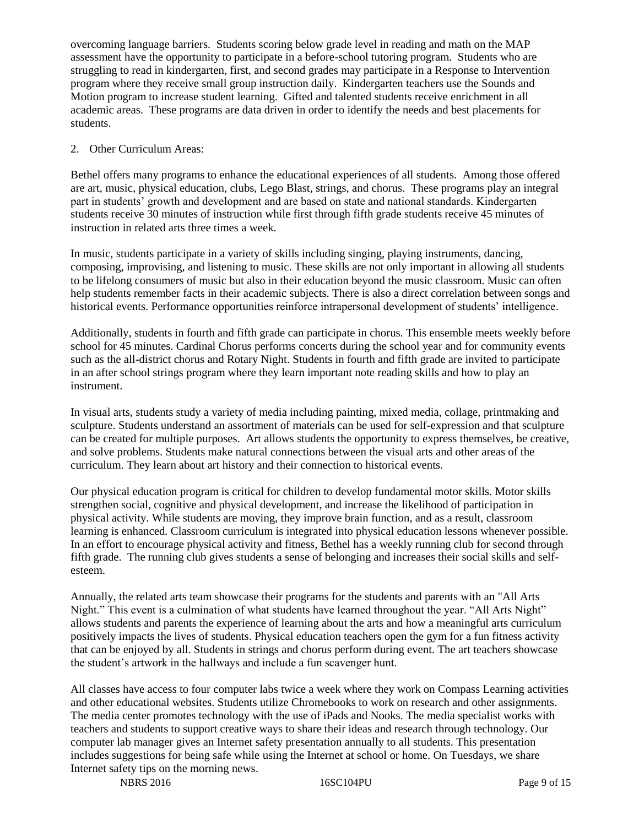overcoming language barriers. Students scoring below grade level in reading and math on the MAP assessment have the opportunity to participate in a before-school tutoring program. Students who are struggling to read in kindergarten, first, and second grades may participate in a Response to Intervention program where they receive small group instruction daily. Kindergarten teachers use the Sounds and Motion program to increase student learning. Gifted and talented students receive enrichment in all academic areas. These programs are data driven in order to identify the needs and best placements for students.

# 2. Other Curriculum Areas:

Bethel offers many programs to enhance the educational experiences of all students. Among those offered are art, music, physical education, clubs, Lego Blast, strings, and chorus. These programs play an integral part in students' growth and development and are based on state and national standards. Kindergarten students receive 30 minutes of instruction while first through fifth grade students receive 45 minutes of instruction in related arts three times a week.

In music, students participate in a variety of skills including singing, playing instruments, dancing, composing, improvising, and listening to music. These skills are not only important in allowing all students to be lifelong consumers of music but also in their education beyond the music classroom. Music can often help students remember facts in their academic subjects. There is also a direct correlation between songs and historical events. Performance opportunities reinforce intrapersonal development of students' intelligence.

Additionally, students in fourth and fifth grade can participate in chorus. This ensemble meets weekly before school for 45 minutes. Cardinal Chorus performs concerts during the school year and for community events such as the all-district chorus and Rotary Night. Students in fourth and fifth grade are invited to participate in an after school strings program where they learn important note reading skills and how to play an instrument.

In visual arts, students study a variety of media including painting, mixed media, collage, printmaking and sculpture. Students understand an assortment of materials can be used for self-expression and that sculpture can be created for multiple purposes. Art allows students the opportunity to express themselves, be creative, and solve problems. Students make natural connections between the visual arts and other areas of the curriculum. They learn about art history and their connection to historical events.

Our physical education program is critical for children to develop fundamental motor skills. Motor skills strengthen social, cognitive and physical development, and increase the likelihood of participation in physical activity. While students are moving, they improve brain function, and as a result, classroom learning is enhanced. Classroom curriculum is integrated into physical education lessons whenever possible. In an effort to encourage physical activity and fitness, Bethel has a weekly running club for second through fifth grade. The running club gives students a sense of belonging and increases their social skills and selfesteem.

Annually, the related arts team showcase their programs for the students and parents with an "All Arts Night." This event is a culmination of what students have learned throughout the year. "All Arts Night" allows students and parents the experience of learning about the arts and how a meaningful arts curriculum positively impacts the lives of students. Physical education teachers open the gym for a fun fitness activity that can be enjoyed by all. Students in strings and chorus perform during event. The art teachers showcase the student's artwork in the hallways and include a fun scavenger hunt.

All classes have access to four computer labs twice a week where they work on Compass Learning activities and other educational websites. Students utilize Chromebooks to work on research and other assignments. The media center promotes technology with the use of iPads and Nooks. The media specialist works with teachers and students to support creative ways to share their ideas and research through technology. Our computer lab manager gives an Internet safety presentation annually to all students. This presentation includes suggestions for being safe while using the Internet at school or home. On Tuesdays, we share Internet safety tips on the morning news.

NBRS 2016 16SC104PU Page 9 of 15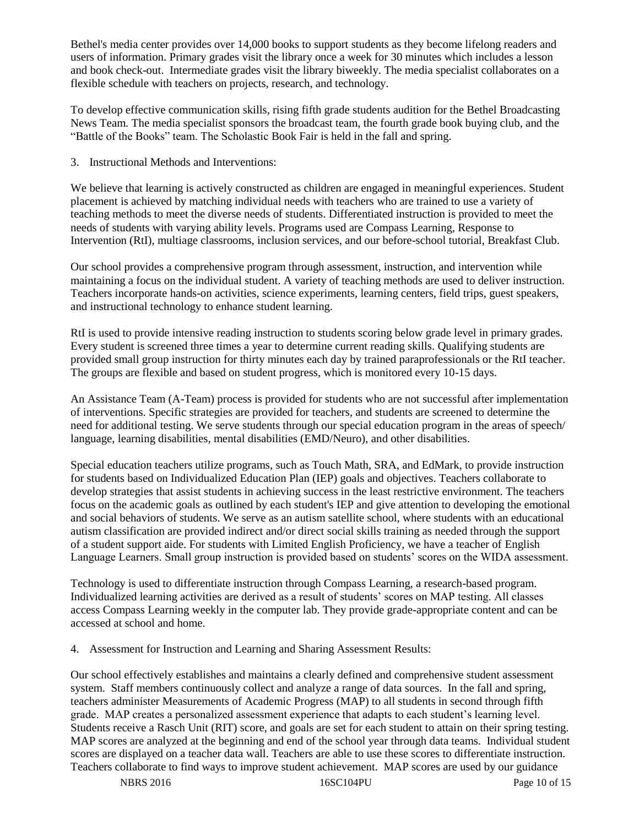Bethel's media center provides over 14,000 books to support students as they become lifelong readers and users of information. Primary grades visit the library once a week for 30 minutes which includes a lesson and book check-out. Intermediate grades visit the library biweekly. The media specialist collaborates on a flexible schedule with teachers on projects, research, and technology.

To develop effective communication skills, rising fifth grade students audition for the Bethel Broadcasting News Team. The media specialist sponsors the broadcast team, the fourth grade book buying club, and the "Battle of the Books" team. The Scholastic Book Fair is held in the fall and spring.

3. Instructional Methods and Interventions:

We believe that learning is actively constructed as children are engaged in meaningful experiences. Student placement is achieved by matching individual needs with teachers who are trained to use a variety of teaching methods to meet the diverse needs of students. Differentiated instruction is provided to meet the needs of students with varying ability levels. Programs used are Compass Learning, Response to Intervention (RtI), multiage classrooms, inclusion services, and our before-school tutorial, Breakfast Club.

Our school provides a comprehensive program through assessment, instruction, and intervention while maintaining a focus on the individual student. A variety of teaching methods are used to deliver instruction. Teachers incorporate hands-on activities, science experiments, learning centers, field trips, guest speakers, and instructional technology to enhance student learning.

RtI is used to provide intensive reading instruction to students scoring below grade level in primary grades. Every student is screened three times a year to determine current reading skills. Qualifying students are provided small group instruction for thirty minutes each day by trained paraprofessionals or the RtI teacher. The groups are flexible and based on student progress, which is monitored every 10-15 days.

An Assistance Team (A-Team) process is provided for students who are not successful after implementation of interventions. Specific strategies are provided for teachers, and students are screened to determine the need for additional testing. We serve students through our special education program in the areas of speech/ language, learning disabilities, mental disabilities (EMD/Neuro), and other disabilities.

Special education teachers utilize programs, such as Touch Math, SRA, and EdMark, to provide instruction for students based on Individualized Education Plan (IEP) goals and objectives. Teachers collaborate to develop strategies that assist students in achieving success in the least restrictive environment. The teachers focus on the academic goals as outlined by each student's IEP and give attention to developing the emotional and social behaviors of students. We serve as an autism satellite school, where students with an educational autism classification are provided indirect and/or direct social skills training as needed through the support of a student support aide. For students with Limited English Proficiency, we have a teacher of English Language Learners. Small group instruction is provided based on students' scores on the WIDA assessment.

Technology is used to differentiate instruction through Compass Learning, a research-based program. Individualized learning activities are derived as a result of students' scores on MAP testing. All classes access Compass Learning weekly in the computer lab. They provide grade-appropriate content and can be accessed at school and home.

4. Assessment for Instruction and Learning and Sharing Assessment Results:

Our school effectively establishes and maintains a clearly defined and comprehensive student assessment system. Staff members continuously collect and analyze a range of data sources. In the fall and spring, teachers administer Measurements of Academic Progress (MAP) to all students in second through fifth grade. MAP creates a personalized assessment experience that adapts to each student's learning level. Students receive a Rasch Unit (RIT) score, and goals are set for each student to attain on their spring testing. MAP scores are analyzed at the beginning and end of the school year through data teams. Individual student scores are displayed on a teacher data wall. Teachers are able to use these scores to differentiate instruction. Teachers collaborate to find ways to improve student achievement. MAP scores are used by our guidance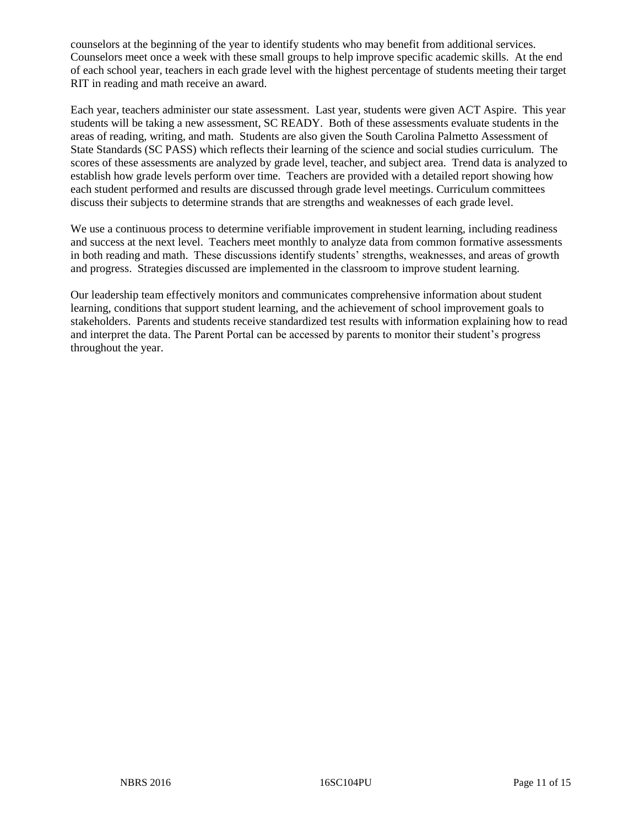counselors at the beginning of the year to identify students who may benefit from additional services. Counselors meet once a week with these small groups to help improve specific academic skills. At the end of each school year, teachers in each grade level with the highest percentage of students meeting their target RIT in reading and math receive an award.

Each year, teachers administer our state assessment. Last year, students were given ACT Aspire. This year students will be taking a new assessment, SC READY. Both of these assessments evaluate students in the areas of reading, writing, and math. Students are also given the South Carolina Palmetto Assessment of State Standards (SC PASS) which reflects their learning of the science and social studies curriculum. The scores of these assessments are analyzed by grade level, teacher, and subject area. Trend data is analyzed to establish how grade levels perform over time. Teachers are provided with a detailed report showing how each student performed and results are discussed through grade level meetings. Curriculum committees discuss their subjects to determine strands that are strengths and weaknesses of each grade level.

We use a continuous process to determine verifiable improvement in student learning, including readiness and success at the next level. Teachers meet monthly to analyze data from common formative assessments in both reading and math. These discussions identify students' strengths, weaknesses, and areas of growth and progress. Strategies discussed are implemented in the classroom to improve student learning.

Our leadership team effectively monitors and communicates comprehensive information about student learning, conditions that support student learning, and the achievement of school improvement goals to stakeholders. Parents and students receive standardized test results with information explaining how to read and interpret the data. The Parent Portal can be accessed by parents to monitor their student's progress throughout the year.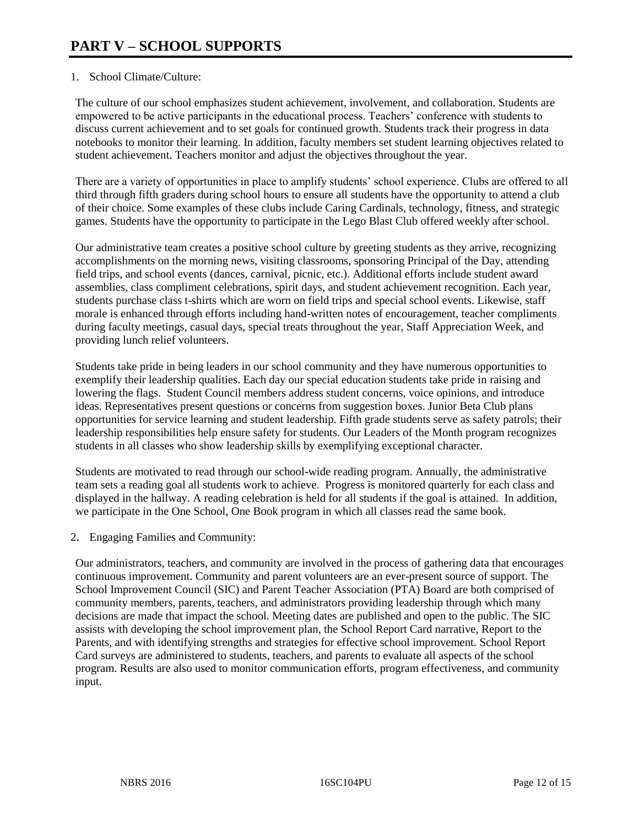# 1. School Climate/Culture:

The culture of our school emphasizes student achievement, involvement, and collaboration. Students are empowered to be active participants in the educational process. Teachers' conference with students to discuss current achievement and to set goals for continued growth. Students track their progress in data notebooks to monitor their learning. In addition, faculty members set student learning objectives related to student achievement. Teachers monitor and adjust the objectives throughout the year.

There are a variety of opportunities in place to amplify students' school experience. Clubs are offered to all third through fifth graders during school hours to ensure all students have the opportunity to attend a club of their choice. Some examples of these clubs include Caring Cardinals, technology, fitness, and strategic games. Students have the opportunity to participate in the Lego Blast Club offered weekly after school.

Our administrative team creates a positive school culture by greeting students as they arrive, recognizing accomplishments on the morning news, visiting classrooms, sponsoring Principal of the Day, attending field trips, and school events (dances, carnival, picnic, etc.). Additional efforts include student award assemblies, class compliment celebrations, spirit days, and student achievement recognition. Each year, students purchase class t-shirts which are worn on field trips and special school events. Likewise, staff morale is enhanced through efforts including hand-written notes of encouragement, teacher compliments during faculty meetings, casual days, special treats throughout the year, Staff Appreciation Week, and providing lunch relief volunteers.

Students take pride in being leaders in our school community and they have numerous opportunities to exemplify their leadership qualities. Each day our special education students take pride in raising and lowering the flags. Student Council members address student concerns, voice opinions, and introduce ideas. Representatives present questions or concerns from suggestion boxes. Junior Beta Club plans opportunities for service learning and student leadership. Fifth grade students serve as safety patrols; their leadership responsibilities help ensure safety for students. Our Leaders of the Month program recognizes students in all classes who show leadership skills by exemplifying exceptional character.

Students are motivated to read through our school-wide reading program. Annually, the administrative team sets a reading goal all students work to achieve. Progress is monitored quarterly for each class and displayed in the hallway. A reading celebration is held for all students if the goal is attained. In addition, we participate in the One School, One Book program in which all classes read the same book.

2. Engaging Families and Community:

Our administrators, teachers, and community are involved in the process of gathering data that encourages continuous improvement. Community and parent volunteers are an ever-present source of support. The School Improvement Council (SIC) and Parent Teacher Association (PTA) Board are both comprised of community members, parents, teachers, and administrators providing leadership through which many decisions are made that impact the school. Meeting dates are published and open to the public. The SIC assists with developing the school improvement plan, the School Report Card narrative, Report to the Parents, and with identifying strengths and strategies for effective school improvement. School Report Card surveys are administered to students, teachers, and parents to evaluate all aspects of the school program. Results are also used to monitor communication efforts, program effectiveness, and community input.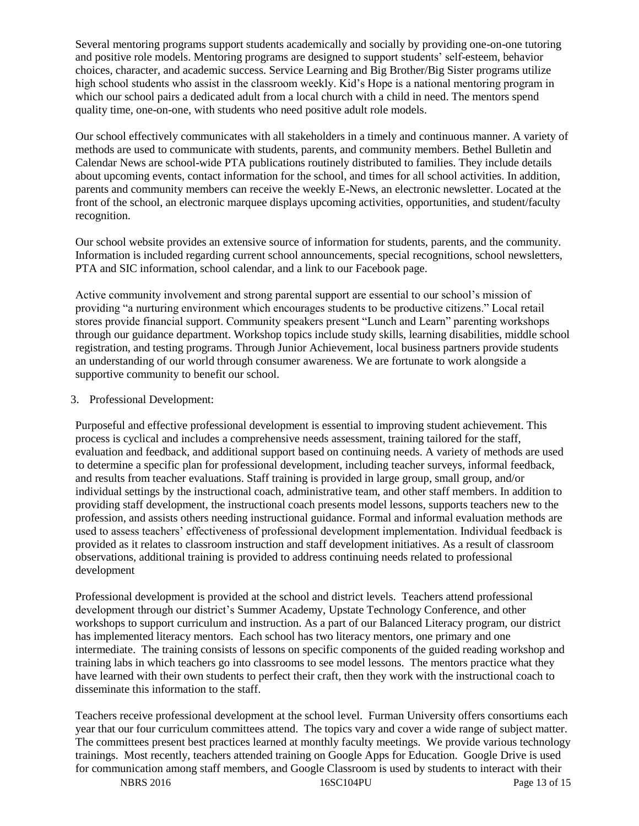Several mentoring programs support students academically and socially by providing one-on-one tutoring and positive role models. Mentoring programs are designed to support students' self-esteem, behavior choices, character, and academic success. Service Learning and Big Brother/Big Sister programs utilize high school students who assist in the classroom weekly. Kid's Hope is a national mentoring program in which our school pairs a dedicated adult from a local church with a child in need. The mentors spend quality time, one-on-one, with students who need positive adult role models.

Our school effectively communicates with all stakeholders in a timely and continuous manner. A variety of methods are used to communicate with students, parents, and community members. Bethel Bulletin and Calendar News are school-wide PTA publications routinely distributed to families. They include details about upcoming events, contact information for the school, and times for all school activities. In addition, parents and community members can receive the weekly E-News, an electronic newsletter. Located at the front of the school, an electronic marquee displays upcoming activities, opportunities, and student/faculty recognition.

Our school website provides an extensive source of information for students, parents, and the community. Information is included regarding current school announcements, special recognitions, school newsletters, PTA and SIC information, school calendar, and a link to our Facebook page.

Active community involvement and strong parental support are essential to our school's mission of providing "a nurturing environment which encourages students to be productive citizens." Local retail stores provide financial support. Community speakers present "Lunch and Learn" parenting workshops through our guidance department. Workshop topics include study skills, learning disabilities, middle school registration, and testing programs. Through Junior Achievement, local business partners provide students an understanding of our world through consumer awareness. We are fortunate to work alongside a supportive community to benefit our school.

# 3. Professional Development:

Purposeful and effective professional development is essential to improving student achievement. This process is cyclical and includes a comprehensive needs assessment, training tailored for the staff, evaluation and feedback, and additional support based on continuing needs. A variety of methods are used to determine a specific plan for professional development, including teacher surveys, informal feedback, and results from teacher evaluations. Staff training is provided in large group, small group, and/or individual settings by the instructional coach, administrative team, and other staff members. In addition to providing staff development, the instructional coach presents model lessons, supports teachers new to the profession, and assists others needing instructional guidance. Formal and informal evaluation methods are used to assess teachers' effectiveness of professional development implementation. Individual feedback is provided as it relates to classroom instruction and staff development initiatives. As a result of classroom observations, additional training is provided to address continuing needs related to professional development

Professional development is provided at the school and district levels. Teachers attend professional development through our district's Summer Academy, Upstate Technology Conference, and other workshops to support curriculum and instruction. As a part of our Balanced Literacy program, our district has implemented literacy mentors. Each school has two literacy mentors, one primary and one intermediate. The training consists of lessons on specific components of the guided reading workshop and training labs in which teachers go into classrooms to see model lessons. The mentors practice what they have learned with their own students to perfect their craft, then they work with the instructional coach to disseminate this information to the staff.

Teachers receive professional development at the school level. Furman University offers consortiums each year that our four curriculum committees attend. The topics vary and cover a wide range of subject matter. The committees present best practices learned at monthly faculty meetings. We provide various technology trainings. Most recently, teachers attended training on Google Apps for Education. Google Drive is used for communication among staff members, and Google Classroom is used by students to interact with their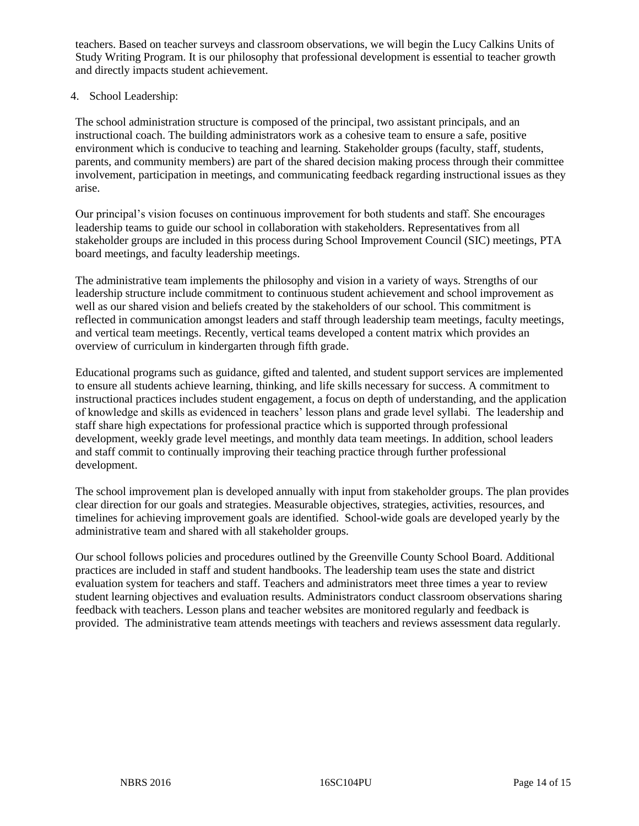teachers. Based on teacher surveys and classroom observations, we will begin the Lucy Calkins Units of Study Writing Program. It is our philosophy that professional development is essential to teacher growth and directly impacts student achievement.

# 4. School Leadership:

The school administration structure is composed of the principal, two assistant principals, and an instructional coach. The building administrators work as a cohesive team to ensure a safe, positive environment which is conducive to teaching and learning. Stakeholder groups (faculty, staff, students, parents, and community members) are part of the shared decision making process through their committee involvement, participation in meetings, and communicating feedback regarding instructional issues as they arise.

Our principal's vision focuses on continuous improvement for both students and staff. She encourages leadership teams to guide our school in collaboration with stakeholders. Representatives from all stakeholder groups are included in this process during School Improvement Council (SIC) meetings, PTA board meetings, and faculty leadership meetings.

The administrative team implements the philosophy and vision in a variety of ways. Strengths of our leadership structure include commitment to continuous student achievement and school improvement as well as our shared vision and beliefs created by the stakeholders of our school. This commitment is reflected in communication amongst leaders and staff through leadership team meetings, faculty meetings, and vertical team meetings. Recently, vertical teams developed a content matrix which provides an overview of curriculum in kindergarten through fifth grade.

Educational programs such as guidance, gifted and talented, and student support services are implemented to ensure all students achieve learning, thinking, and life skills necessary for success. A commitment to instructional practices includes student engagement, a focus on depth of understanding, and the application of knowledge and skills as evidenced in teachers' lesson plans and grade level syllabi. The leadership and staff share high expectations for professional practice which is supported through professional development, weekly grade level meetings, and monthly data team meetings. In addition, school leaders and staff commit to continually improving their teaching practice through further professional development.

The school improvement plan is developed annually with input from stakeholder groups. The plan provides clear direction for our goals and strategies. Measurable objectives, strategies, activities, resources, and timelines for achieving improvement goals are identified. School-wide goals are developed yearly by the administrative team and shared with all stakeholder groups.

Our school follows policies and procedures outlined by the Greenville County School Board. Additional practices are included in staff and student handbooks. The leadership team uses the state and district evaluation system for teachers and staff. Teachers and administrators meet three times a year to review student learning objectives and evaluation results. Administrators conduct classroom observations sharing feedback with teachers. Lesson plans and teacher websites are monitored regularly and feedback is provided. The administrative team attends meetings with teachers and reviews assessment data regularly.